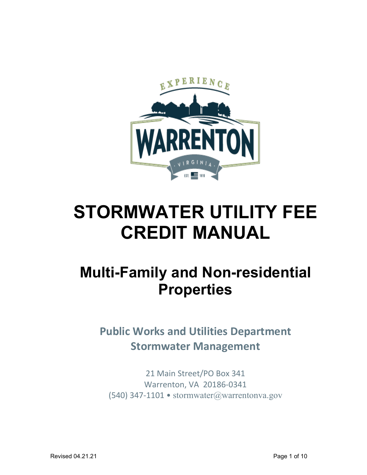

# **STORMWATER UTILITY FEE CREDIT MANUAL**

# **Multi-Family and Non-residential Properties**

**Public Works and Utilities Department Stormwater Management**

21 Main Street/PO Box 341 Warrenton, VA 20186-0341 (540) 347-1101 • [stormwater@warrentonva.gov](mailto:stormwater@warrentonva.gov)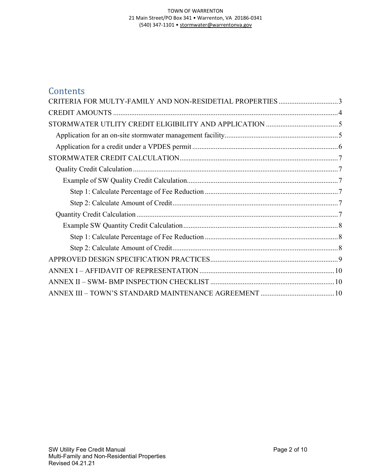#### TOWN OF WARRENTON 21 Main Street/PO Box 341 • Warrenton, VA 20186-0341 (540) 347-1101 • [stormwater@warrentonva.gov](mailto:stormwater@warrentonva.gov)

| Contents                                                 |  |
|----------------------------------------------------------|--|
| CRITERIA FOR MULTY-FAMILY AND NON-RESIDETIAL PROPERTIES3 |  |
|                                                          |  |
|                                                          |  |
|                                                          |  |
|                                                          |  |
|                                                          |  |
|                                                          |  |
|                                                          |  |
|                                                          |  |
|                                                          |  |
|                                                          |  |
|                                                          |  |
|                                                          |  |
|                                                          |  |
|                                                          |  |
|                                                          |  |
|                                                          |  |
|                                                          |  |
|                                                          |  |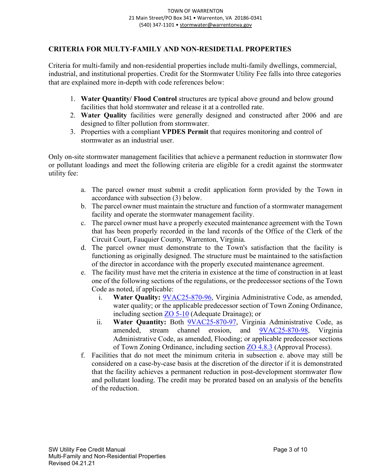#### <span id="page-2-0"></span>**CRITERIA FOR MULTY-FAMILY AND NON-RESIDETIAL PROPERTIES**

Criteria for multi-family and non-residential properties include multi-family dwellings, commercial, industrial, and institutional properties. Credit for the Stormwater Utility Fee falls into three categories that are explained more in-depth with code references below:

- 1. **Water Quantity/ Flood Control** structures are typical above ground and below ground facilities that hold stormwater and release it at a controlled rate.
- 2. **Water Quality** facilities were generally designed and constructed after 2006 and are designed to filter pollution from stormwater.
- 3. Properties with a compliant **VPDES Permit** that requires monitoring and control of stormwater as an industrial user.

Only on-site stormwater management facilities that achieve a permanent reduction in stormwater flow or pollutant loadings and meet the following criteria are eligible for a credit against the stormwater utility fee:

- a. The parcel owner must submit a credit application form provided by the Town in accordance with subsection (3) below.
- b. The parcel owner must maintain the structure and function of a stormwater management facility and operate the stormwater management facility.
- c. The parcel owner must have a properly executed maintenance agreement with the Town that has been properly recorded in the land records of the Office of the Clerk of the Circuit Court, Fauquier County, Warrenton, Virginia.
- d. The parcel owner must demonstrate to the Town's satisfaction that the facility is functioning as originally designed. The structure must be maintained to the satisfaction of the director in accordance with the properly executed maintenance agreement.
- e. The facility must have met the criteria in existence at the time of construction in at least one of the following sections of the regulations, or the predecessor sections of the Town Code as noted, if applicable:
	- i. **Water Quality:** [9VAC25-870-96,](https://lis.virginia.gov/cgi-bin/legp604.exe?000+reg+9VAC25-870-96) Virginia Administrative Code, as amended, water quality; or the applicable predecessor section of Town Zoning Ordinance, including section  $\underline{ZO 5-10}$  (Adequate Drainage); or
	- ii. **Water Quantity:** Both [9VAC25-870-97,](https://law.lis.virginia.gov/admincode/title9/agency25/chapter870/section97/) Virginia Administrative Code, as amended, stream channel erosion, and [9VAC25-870-98,](https://law.lis.virginia.gov/admincode/title9/agency25/chapter870/section98/) Virginia Administrative Code, as amended, Flooding; or applicable predecessor sections of Town Zoning Ordinance, including section [ZO 4.8.3](https://cms.revize.com/revize/warrenton/document_center/Planning/Article%204%20Site%20Conservation%20Manual%2012.10.19.pdf) (Approval Process).
- f. Facilities that do not meet the minimum criteria in subsection e. above may still be considered on a case-by-case basis at the discretion of the director if it is demonstrated that the facility achieves a permanent reduction in post-development stormwater flow and pollutant loading. The credit may be prorated based on an analysis of the benefits of the reduction.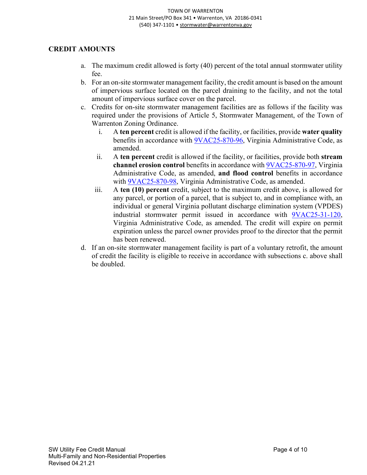#### <span id="page-3-0"></span>**CREDIT AMOUNTS**

- a. The maximum credit allowed is forty (40) percent of the total annual stormwater utility fee.
- b. For an on-site stormwater management facility, the credit amount is based on the amount of impervious surface located on the parcel draining to the facility, and not the total amount of impervious surface cover on the parcel.
- c. Credits for on-site stormwater management facilities are as follows if the facility was required under the provisions of Article 5, Stormwater Management, of the Town of Warrenton Zoning Ordinance.
	- i. A **ten percent** credit is allowed if the facility, or facilities, provide **water quality** benefits in accordance with [9VAC25-870-96,](https://lis.virginia.gov/cgi-bin/legp604.exe?000+reg+9VAC25-870-96) Virginia Administrative Code, as amended.
	- ii. A **ten percent** credit is allowed if the facility, or facilities, provide both **stream channel erosion control** benefits in accordance with [9VAC25-870-97,](https://law.lis.virginia.gov/admincode/title9/agency25/chapter870/section97/) Virginia Administrative Code, as amended, **and flood control** benefits in accordance with [9VAC25-870-98,](https://law.lis.virginia.gov/admincode/title9/agency25/chapter870/section98/) Virginia Administrative Code, as amended.
	- iii. A **ten (10) percent** credit, subject to the maximum credit above, is allowed for any parcel, or portion of a parcel, that is subject to, and in compliance with, an individual or general Virginia pollutant discharge elimination system (VPDES) industrial stormwater permit issued in accordance with [9VAC25-31-120,](https://law.lis.virginia.gov/admincode/title9/agency25/chapter31/section120/) Virginia Administrative Code, as amended. The credit will expire on permit expiration unless the parcel owner provides proof to the director that the permit has been renewed.
- d. If an on-site stormwater management facility is part of a voluntary retrofit, the amount of credit the facility is eligible to receive in accordance with subsections c. above shall be doubled.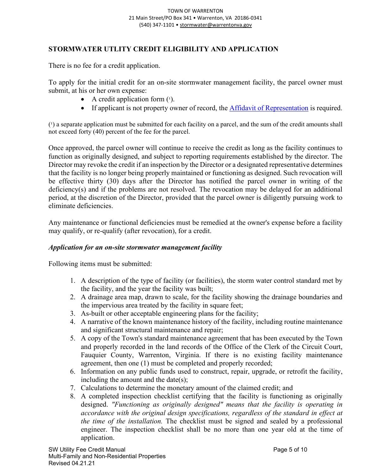#### <span id="page-4-0"></span>**STORMWATER UTLITY CREDIT ELIGIBILITY AND APPLICATION**

There is no fee for a credit application.

To apply for the initial credit for an on-site stormwater management facility, the parcel owner must submit, at his or her own expense:

- A credit application form  $(1)$ .
- If applicant is not property owner of record, the [Affidavit of Representation](https://cms.revize.com/revize/warrenton/document_center/Planning/Affidavit%20Form.pdf) is required.

 $(1)$  a separate application must be submitted for each facility on a parcel, and the sum of the credit amounts shall not exceed forty (40) percent of the fee for the parcel.

Once approved, the parcel owner will continue to receive the credit as long as the facility continues to function as originally designed, and subject to reporting requirements established by the director. The Director may revoke the credit if an inspection by the Director or a designated representative determines that the facility is no longer being properly maintained or functioning as designed. Such revocation will be effective thirty (30) days after the Director has notified the parcel owner in writing of the deficiency(s) and if the problems are not resolved. The revocation may be delayed for an additional period, at the discretion of the Director, provided that the parcel owner is diligently pursuing work to eliminate deficiencies.

Any maintenance or functional deficiencies must be remedied at the owner's expense before a facility may qualify, or re-qualify (after revocation), for a credit.

#### <span id="page-4-1"></span>*Application for an on-site stormwater management facility*

Following items must be submitted:

- 1. A description of the type of facility (or facilities), the storm water control standard met by the facility, and the year the facility was built;
- 2. A drainage area map, drawn to scale, for the facility showing the drainage boundaries and the impervious area treated by the facility in square feet;
- 3. As-built or other acceptable engineering plans for the facility;
- 4. A narrative of the known maintenance history of the facility, including routine maintenance and significant structural maintenance and repair;
- 5. A copy of the Town's standard maintenance agreement that has been executed by the Town and properly recorded in the land records of the Office of the Clerk of the Circuit Court, Fauquier County, Warrenton, Virginia. If there is no existing facility maintenance agreement, then one (1) must be completed and properly recorded;
- 6. Information on any public funds used to construct, repair, upgrade, or retrofit the facility, including the amount and the date(s);
- 7. Calculations to determine the monetary amount of the claimed credit; and
- 8. A completed inspection checklist certifying that the facility is functioning as originally designed. *"Functioning as originally designed" means that the facility is operating in accordance with the original design specifications, regardless of the standard in effect at the time of the installation.* The checklist must be signed and sealed by a professional engineer. The inspection checklist shall be no more than one year old at the time of application.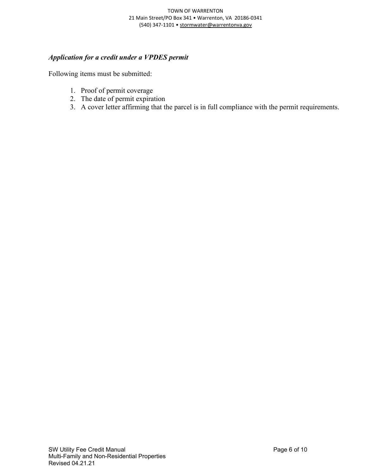#### TOWN OF WARRENTON 21 Main Street/PO Box 341 • Warrenton, VA 20186-0341 (540) 347-1101 • [stormwater@warrentonva.gov](mailto:stormwater@warrentonva.gov)

#### <span id="page-5-0"></span>*Application for a credit under a VPDES permit*

Following items must be submitted:

- 1. Proof of permit coverage
- 2. The date of permit expiration
- 3. A cover letter affirming that the parcel is in full compliance with the permit requirements.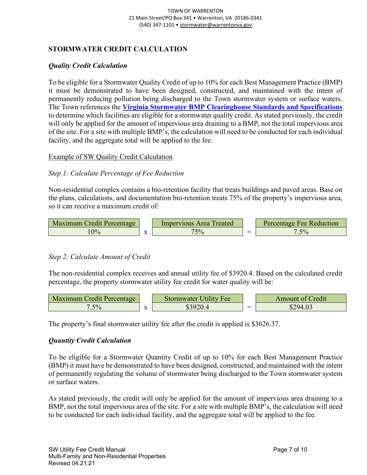#### <span id="page-6-0"></span>**STORMWATER CREDIT CALCULATION**

#### <span id="page-6-1"></span>*Quality Credit Calculation*

To be eligible for a Stormwater Quality Credit of up to 10% for each Best Management Practice (BMP) it must be demonstrated to have been designed, constructed, and maintained with the intent of permanently reducing pollution being discharged to the Town stormwater system or surface waters. The Town references the **[Virginia Stormwater BMP Clearinghouse Standards and Specifications](https://swbmp.vwrrc.vt.edu/references-tools/2013-draft-handbook/)** to determine which facilities are eligible for a stormwater quality credit. As stated previously, the credit will only be applied for the amount of impervious area draining to a BMP, not the total impervious area of the site. For a site with multiple BMP's, the calculation will need to be conducted for each individual facility, and the aggregate total will be applied to the fee.

#### <span id="page-6-2"></span>Example of SW Quality Credit Calculation

#### <span id="page-6-3"></span>*Step 1: Calculate Percentage of Fee Reduction*

Non-residential complex contains a bio-retention facility that treats buildings and paved areas. Base on the plans, calculations, and documentation bio-retention treats 75% of the property's impervious area, so it can receive a maximum credit of:



#### <span id="page-6-4"></span>*Step 2: Calculate Amount of Credit*

The non-residential complex receives and annual utility fee of \$3920.4. Based on the calculated credit percentage, the property stormwater utility fee credit for water quality will be:



The property's final stormwater utility fee after the credit is applied is \$3626.37.

#### <span id="page-6-5"></span>*Quantity Credit Calculation*

To be eligible for a Stormwater Quantity Credit of up to 10% for each Best Management Practice (BMP) it must have be demonstrated to have been designed, constructed, and maintained with the intent of permanently regulating the volume of stormwater being discharged to the Town stormwater system or surface waters.

As stated previously, the credit will only be applied for the amount of impervious area draining to a BMP, not the total impervious area of the site. For a site with multiple BMP's, the calculation will need to be conducted for each individual facility, and the aggregate total will be applied to the fee.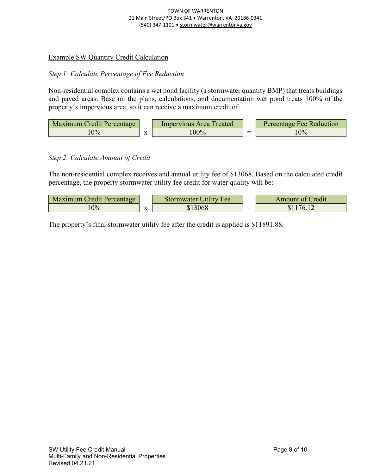#### TOWN OF WARRENTON 21 Main Street/PO Box 341 • Warrenton, VA 20186-0341 (540) 347-1101 • [stormwater@warrentonva.gov](mailto:stormwater@warrentonva.gov)

#### <span id="page-7-0"></span>Example SW Quantity Credit Calculation

#### <span id="page-7-1"></span>*Step 1: Calculate Percentage of Fee Reduction*

Non-residential complex contains a wet pond facility (a stormwater quantity BMP) that treats buildings and paved areas. Base on the plans, calculations, and documentation wet pond treats 100% of the property's impervious area, so it can receive a maximum credit of:

| Maximum Credit Percentage |           | Impervious Area Treated |                                | Percentage Fee Reduction |
|---------------------------|-----------|-------------------------|--------------------------------|--------------------------|
|                           | $\Lambda$ | .00%                    | --<br>$\overline{\phantom{a}}$ | 10%                      |

#### <span id="page-7-2"></span>*Step 2: Calculate Amount of Credit*

The non-residential complex receives and annual utility fee of \$13068. Based on the calculated credit percentage, the property stormwater utility fee credit for water quality will be:

| Maximum Credit Percentage |                                | Stormwater Utility Fee | red <sub>1</sub> t<br>Amount of C |
|---------------------------|--------------------------------|------------------------|-----------------------------------|
| 0%                        | $\mathbf{v}$<br>$\overline{A}$ | 3068                   | 16<br>۱D.                         |

The property's final stormwater utility fee after the credit is applied is \$11891.88.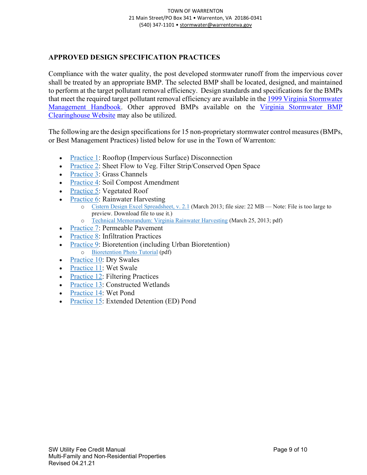#### <span id="page-8-0"></span>**APPROVED DESIGN SPECIFICATION PRACTICES**

Compliance with the water quality, the post developed stormwater runoff from the impervious cover shall be treated by an appropriate BMP. The selected BMP shall be located, designed, and maintained to perform at the target pollutant removal efficiency. Design standards and specifications for the BMPs that meet the required target pollutant removal efficiency are available in the 1999 Virginia Stormwater [Management Handbook.](https://sswm.info/sites/default/files/reference_attachments/DCR%201999.%20Virginia%20Stormwater%20Management%20Handbook.pdf) Other approved BMPs available on the [Virginia Stormwater BMP](https://swbmp.vwrrc.vt.edu/)  [Clearinghouse Website](https://swbmp.vwrrc.vt.edu/) may also be utilized.

The following are the design specifications for 15 non-proprietary stormwater control measures (BMPs, or Best Management Practices) listed below for use in the Town of Warrenton:

- [Practice](https://swbmpvwrrc.wp.prod.es.cloud.vt.edu/wp-content/uploads/2017/11/BMP-Spec-No-1_DISCONNECTION_v1-9_03012011.pdf) 1: Rooftop (Impervious Surface) Disconnection
- [Practice](http://www.swbmp.vwrrc.vt.edu/wp-content/uploads/2017/11/BMP-Spec-No-2_SHEET-FLOW_v1-9_03012011.pdf) 2: Sheet Flow to Veg. Filter Strip/Conserved Open Space
- [Practice](https://swbmpvwrrc.wp.prod.es.cloud.vt.edu/wp-content/uploads/2017/11/BMP-Spec-No-3_GRASS-CHANNELS_v1-9_03012011.pdf) 3: Grass Channels
- [Practice](https://swbmpvwrrc.wp.prod.es.cloud.vt.edu/wp-content/uploads/2017/11/BMP-Spec-No-4_SOIL-AMENDMENT_v1-9_11282016.pdf) 4: Soil Compost Amendment
- [Practice](https://swbmpvwrrc.wp.prod.es.cloud.vt.edu/wp-content/uploads/2017/11/BMP-Spec-No-5_VEGETATED-ROOF_v2-3_03012011.pdf) 5: Vegetated Roof
- [Practice](http://www.swbmp.vwrrc.vt.edu/wp-content/uploads/2017/11/BMP-Spec-No-6_RAINWATER-HARVESTING_v1-9-5_03012011.pdf) 6: Rainwater Harvesting
	- o Cistern Design Excel [Spreadsheet,](https://drive.google.com/file/d/1n1m76G4ils24FGt_QvZTJesqZeUTJQ5J/view?usp=sharing) v. 2.1 (March 2013; file size: 22 MB Note: File is too large to preview. Download file to use it.)
	- o Technical [Memorandum:](https://swbmpvwrrc.wp.prod.es.cloud.vt.edu/wp-content/uploads/2017/12/Technical-Memorandum_VA-CDS-spreadsheet_Mar-25_2013.pdf) Virginia Rainwater Harvesting (March 25, 2013; pdf)
- [Practice](https://swbmpvwrrc.wp.prod.es.cloud.vt.edu/wp-content/uploads/2017/11/BMP-Spec-No-7_PERMEABLE-PAVEMENT_v1-8_03012011.pdf) 7: Permeable Pavement
- [Practice](https://swbmpvwrrc.wp.prod.es.cloud.vt.edu/wp-content/uploads/2017/11/BMP-Spec-No-8_INFILTRATION_v1-9_03012011.pdf) 8: Infiltration Practices
- [Practice](https://swbmpvwrrc.wp.prod.es.cloud.vt.edu/wp-content/uploads/2017/11/BMP-Spec-No-9_BIORETENTION_v1-9_03012011.pdf) 9: Bioretention (including Urban Bioretention) o [Bioretention](https://swbmpvwrrc.wp.prod.es.cloud.vt.edu/wp-content/uploads/2017/11/BMP-Spec-No-9_BIORETENTION_Photo-Tutorial_v1-0_07022009.pdf) Photo Tutorial (pdf)
- [Practice](https://swbmpvwrrc.wp.prod.es.cloud.vt.edu/wp-content/uploads/2017/11/BMP-Spec-No-10_DRY-SWALE_v1-9_03012011.pdf) 10: Dry Swales
- [Practice](https://swbmpvwrrc.wp.prod.es.cloud.vt.edu/wp-content/uploads/2017/11/BMP-Spec-No-11_WET-SWALE-_v1-9_03012011.pdf) 11: Wet Swale
- [Practice](http://www.swbmp.vwrrc.vt.edu/wp-content/uploads/2017/11/BMP-Spec-No-12_FILTERING-PRACTICES_v1-8_03012011.pdf) 12: Filtering Practices
- [Practice](https://swbmpvwrrc.wp.prod.es.cloud.vt.edu/wp-content/uploads/2017/11/BMP-Spec-No-13_CONSTRUCTED-WETLAND_v1-9_03012011.pdf) 13: Constructed Wetlands
- [Practice](https://swbmpvwrrc.wp.prod.es.cloud.vt.edu/wp-content/uploads/2017/11/BMP-Spec-No-14_WET-PONDS_v1-9_05112015.pdf) 14: Wet Pond
- [Practice](https://swbmpvwrrc.wp.prod.es.cloud.vt.edu/wp-content/uploads/2017/11/BMP-Spec-No-15_EXT-DETENTION-POND_v1-9_03012011.pdf) 15: Extended Detention (ED) Pond